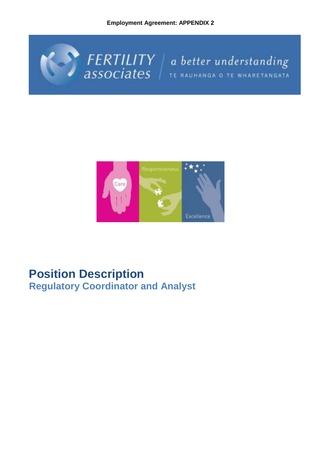**Employment Agreement: APPENDIX 2**





## **Position Description Regulatory Coordinator and Analyst**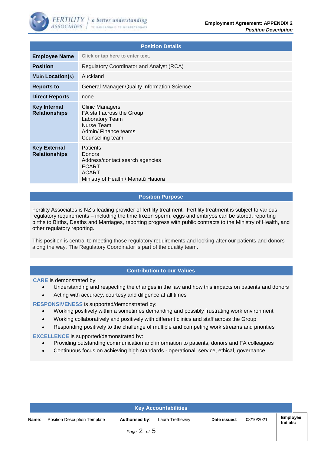

| <b>Position Details</b>                     |                                                                                                                                           |  |  |  |
|---------------------------------------------|-------------------------------------------------------------------------------------------------------------------------------------------|--|--|--|
| <b>Employee Name</b>                        | Click or tap here to enter text.                                                                                                          |  |  |  |
| <b>Position</b>                             | <b>Regulatory Coordinator and Analyst (RCA)</b>                                                                                           |  |  |  |
| <b>Main Location(s)</b>                     | Auckland                                                                                                                                  |  |  |  |
| <b>Reports to</b>                           | <b>General Manager Quality Information Science</b>                                                                                        |  |  |  |
| <b>Direct Reports</b>                       | none                                                                                                                                      |  |  |  |
| <b>Key Internal</b><br><b>Relationships</b> | Clinic Managers<br>FA staff across the Group<br>Laboratory Team<br>Nurse Team<br>Admin/ Finance teams<br>Counselling team                 |  |  |  |
| <b>Key External</b><br><b>Relationships</b> | <b>Patients</b><br><b>Donors</b><br>Address/contact search agencies<br><b>ECART</b><br><b>ACART</b><br>Ministry of Health / Manatū Hauora |  |  |  |

## **Position Purpose**

Fertility Associates is NZ's leading provider of fertility treatment. Fertility treatment is subject to various regulatory requirements – including the time frozen sperm, eggs and embryos can be stored, reporting births to Births, Deaths and Marriages, reporting progress with public contracts to the Ministry of Health, and other regulatory reporting.

This position is central to meeting those regulatory requirements and looking after our patients and donors along the way. The Regulatory Coordinator is part of the quality team.

## **Contribution to our Values**

**CARE** is demonstrated by:

- Understanding and respecting the changes in the law and how this impacts on patients and donors
- Acting with accuracy, courtesy and diligence at all times

**RESPONSIVENESS** is supported/demonstrated by:

- Working positively within a sometimes demanding and possibly frustrating work environment
- Working collaboratively and positively with different clinics and staff across the Group
- Responding positively to the challenge of multiple and competing work streams and priorities

**EXCELLENCE** is supported/demonstrated by:

- Providing outstanding communication and information to patients, donors and FA colleagues
- Continuous focus on achieving high standards operational, service, ethical, governance

| <b>Key Accountabilities</b> |                                      |                |                 |              |            |                              |
|-----------------------------|--------------------------------------|----------------|-----------------|--------------|------------|------------------------------|
| Name:                       | <b>Position Description Template</b> | Authorised by: | Laura Trethewey | Date issued: | 08/10/2021 | <b>Employee</b><br>Initials: |
| Page $2$ of $5$             |                                      |                |                 |              |            |                              |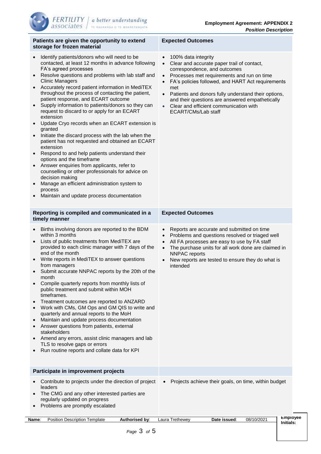**Initials:**

| Patients are given the opportunity to extend<br>storage for frozen material                                                                                                                                                                                                                                                                                                                                                                                                                                                                                                                                                                                                                                                                                                                                                                                                                                                                                                                                                                                          | <b>Expected Outcomes</b>                                                                                                                                                                                                                                                                                                                                                                                                      |  |  |  |
|----------------------------------------------------------------------------------------------------------------------------------------------------------------------------------------------------------------------------------------------------------------------------------------------------------------------------------------------------------------------------------------------------------------------------------------------------------------------------------------------------------------------------------------------------------------------------------------------------------------------------------------------------------------------------------------------------------------------------------------------------------------------------------------------------------------------------------------------------------------------------------------------------------------------------------------------------------------------------------------------------------------------------------------------------------------------|-------------------------------------------------------------------------------------------------------------------------------------------------------------------------------------------------------------------------------------------------------------------------------------------------------------------------------------------------------------------------------------------------------------------------------|--|--|--|
| Identify patients/donors who will need to be<br>$\bullet$<br>contacted, at least 12 months in advance following<br>FA's agreed processes<br>Resolve questions and problems with lab staff and<br>$\bullet$<br><b>Clinic Managers</b><br>Accurately record patient information in MediTEX<br>throughout the process of contacting the patient,<br>patient response, and ECART outcome<br>Supply information to patients/donors so they can<br>request to discard to or apply for an ECART<br>extension<br>Update Cryo records when an ECART extension is<br>$\bullet$<br>granted<br>Initiate the discard process with the lab when the<br>$\bullet$<br>patient has not requested and obtained an ECART<br>extension<br>Respond to and help patients understand their<br>$\bullet$<br>options and the timeframe<br>Answer enquiries from applicants, refer to<br>$\bullet$<br>counselling or other professionals for advice on<br>decision making<br>Manage an efficient administration system to<br>process<br>Maintain and update process documentation<br>$\bullet$ | 100% data integrity<br>$\bullet$<br>Clear and accurate paper trail of contact,<br>$\bullet$<br>correspondence, and outcomes<br>Processes met requirements and run on time<br>$\bullet$<br>FA's policies followed, and HART Act requirements<br>met<br>Patients and donors fully understand their options,<br>and their questions are answered empathetically<br>Clear and efficient communication with<br>ECART/CMs/Lab staff |  |  |  |
| Reporting is compiled and communicated in a<br>timely manner                                                                                                                                                                                                                                                                                                                                                                                                                                                                                                                                                                                                                                                                                                                                                                                                                                                                                                                                                                                                         | <b>Expected Outcomes</b>                                                                                                                                                                                                                                                                                                                                                                                                      |  |  |  |
| Births involving donors are reported to the BDM<br>$\bullet$<br>within 3 months<br>Lists of public treatments from MediTEX are<br>$\bullet$<br>provided to each clinic manager with 7 days of the<br>end of the month<br>Write reports in MediTEX to answer questions<br>٠<br>from managers<br>Submit accurate NNPAC reports by the 20th of the<br>$\bullet$<br>month<br>Compile quarterly reports from monthly lists of<br>public treatment and submit within MOH<br>timeframes.<br>Treatment outcomes are reported to ANZARD<br>$\bullet$<br>Work with CMs, GM Ops and GM QIS to write and<br>quarterly and annual reports to the MoH<br>Maintain and update process documentation<br>٠<br>Answer questions from patients, external<br>stakeholders<br>Amend any errors, assist clinic managers and lab<br>TLS to resolve gaps or errors<br>Run routine reports and collate data for KPI<br>$\bullet$                                                                                                                                                              | Reports are accurate and submitted on time<br>Problems and questions resolved or triaged well<br>$\bullet$<br>All FA processes are easy to use by FA staff<br>$\bullet$<br>The purchase units for all work done are claimed in<br>$\bullet$<br><b>NNPAC</b> reports<br>New reports are tested to ensure they do what is<br>intended                                                                                           |  |  |  |
| Participate in improvement projects                                                                                                                                                                                                                                                                                                                                                                                                                                                                                                                                                                                                                                                                                                                                                                                                                                                                                                                                                                                                                                  |                                                                                                                                                                                                                                                                                                                                                                                                                               |  |  |  |
| Contribute to projects under the direction of project<br>$\bullet$<br>leaders<br>The CMG and any other interested parties are<br>regularly updated on progress<br>Problems are promptly escalated<br>$\bullet$                                                                                                                                                                                                                                                                                                                                                                                                                                                                                                                                                                                                                                                                                                                                                                                                                                                       | Projects achieve their goals, on time, within budget<br>$\bullet$                                                                                                                                                                                                                                                                                                                                                             |  |  |  |
| Position Description Template<br>Authorised by:<br>Name:                                                                                                                                                                                                                                                                                                                                                                                                                                                                                                                                                                                                                                                                                                                                                                                                                                                                                                                                                                                                             | Employee<br>Laura Trethewey<br>08/10/2021<br>Date issued:<br><b>Initials:</b>                                                                                                                                                                                                                                                                                                                                                 |  |  |  |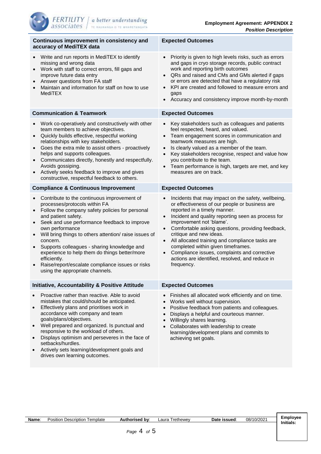| Continuous improvement in consistency and<br>accuracy of MediTEX data                                                                                                                                                                                                                                                                                                                                                                                                                                 | <b>Expected Outcomes</b>                                                                                                                                                                                                                                                                                                                                                                                                                                                                                                       |  |  |  |
|-------------------------------------------------------------------------------------------------------------------------------------------------------------------------------------------------------------------------------------------------------------------------------------------------------------------------------------------------------------------------------------------------------------------------------------------------------------------------------------------------------|--------------------------------------------------------------------------------------------------------------------------------------------------------------------------------------------------------------------------------------------------------------------------------------------------------------------------------------------------------------------------------------------------------------------------------------------------------------------------------------------------------------------------------|--|--|--|
| Write and run reports in MediTEX to identify<br>missing and wrong data<br>Work with staff to correct errors, fill gaps and<br>improve future data entry<br>Answer questions from FA staff<br>Maintain and information for staff on how to use<br><b>MediTEX</b>                                                                                                                                                                                                                                       | Priority is given to high levels risks, such as errors<br>and gaps in cryo storage records, public contract<br>work and reporting birth outcomes<br>QRs and raised and CMs and GMs alerted if gaps<br>or errors are detected that have a regulatory risk<br>KPI are created and followed to measure errors and<br>$\bullet$<br>gaps<br>Accuracy and consistency improve month-by-month                                                                                                                                         |  |  |  |
| <b>Communication &amp; Teamwork</b>                                                                                                                                                                                                                                                                                                                                                                                                                                                                   | <b>Expected Outcomes</b>                                                                                                                                                                                                                                                                                                                                                                                                                                                                                                       |  |  |  |
| Work co-operatively and constructively with other<br>team members to achieve objectives.<br>Quickly builds effective, respectful working<br>relationships with key stakeholders.<br>Goes the extra mile to assist others - proactively<br>helps and supports colleagues.<br>Communicates directly, honestly and respectfully.<br>Avoids gossiping.<br>Actively seeks feedback to improve and gives<br>constructive, respectful feedback to others.                                                    | Key stakeholders such as colleagues and patients<br>feel respected, heard, and valued.<br>Team engagement scores in communication and<br>$\bullet$<br>teamwork measures are high.<br>Is clearly valued as a member of the team.<br>$\bullet$<br>Key stakeholders recognise, respect and value how<br>you contribute to the team.<br>Team performance is high, targets are met, and key<br>$\bullet$<br>measures are on track.                                                                                                  |  |  |  |
| <b>Compliance &amp; Continuous Improvement</b>                                                                                                                                                                                                                                                                                                                                                                                                                                                        | <b>Expected Outcomes</b>                                                                                                                                                                                                                                                                                                                                                                                                                                                                                                       |  |  |  |
| Contribute to the continuous improvement of<br>processes/protocols within FA<br>Follow the company safety policies for personal<br>and patient safety.<br>Seek and use performance feedback to improve<br>own performance<br>Will bring things to others attention/raise issues of<br>concern.<br>Supports colleagues - sharing knowledge and<br>experience to help them do things better/more<br>efficiently.<br>Raise/report/escalate compliance issues or risks<br>using the appropriate channels. | Incidents that may impact on the safety, wellbeing,<br>or effectiveness of our people or business are<br>reported in a timely manner.<br>Incident and quality reporting seen as process for<br>$\bullet$<br>improvement not 'blame'.<br>Comfortable asking questions, providing feedback,<br>critique and new ideas.<br>All allocated training and compliance tasks are<br>completed within given timeframes.<br>Compliance issues, complaints and corrective<br>actions are identified, resolved, and reduce in<br>frequency. |  |  |  |
| <b>Initiative, Accountability &amp; Positive Attitude</b>                                                                                                                                                                                                                                                                                                                                                                                                                                             | <b>Expected Outcomes</b>                                                                                                                                                                                                                                                                                                                                                                                                                                                                                                       |  |  |  |
| Proactive rather than reactive. Able to avoid<br>mistakes that could/should be anticipated.<br>Effectively plans and prioritises work in<br>$\bullet$<br>accordance with company and team<br>goals/plans/objectives.<br>Well prepared and organized. Is punctual and<br>responsive to the workload of others.<br>Displays optimism and perseveres in the face of<br>setbacks/hurdles.<br>Actively sets learning/development goals and<br>drives own learning outcomes.                                | Finishes all allocated work efficiently and on time.<br>Works well without supervision.<br>$\bullet$<br>Positive feedback from patients and colleagues.<br>$\bullet$<br>Displays a helpful and courteous manner.<br>$\bullet$<br>Willingly shares learning.<br>$\bullet$<br>Collaborates with leadership to create<br>$\bullet$<br>learning/development plans and commits to<br>achieving set goals.                                                                                                                           |  |  |  |